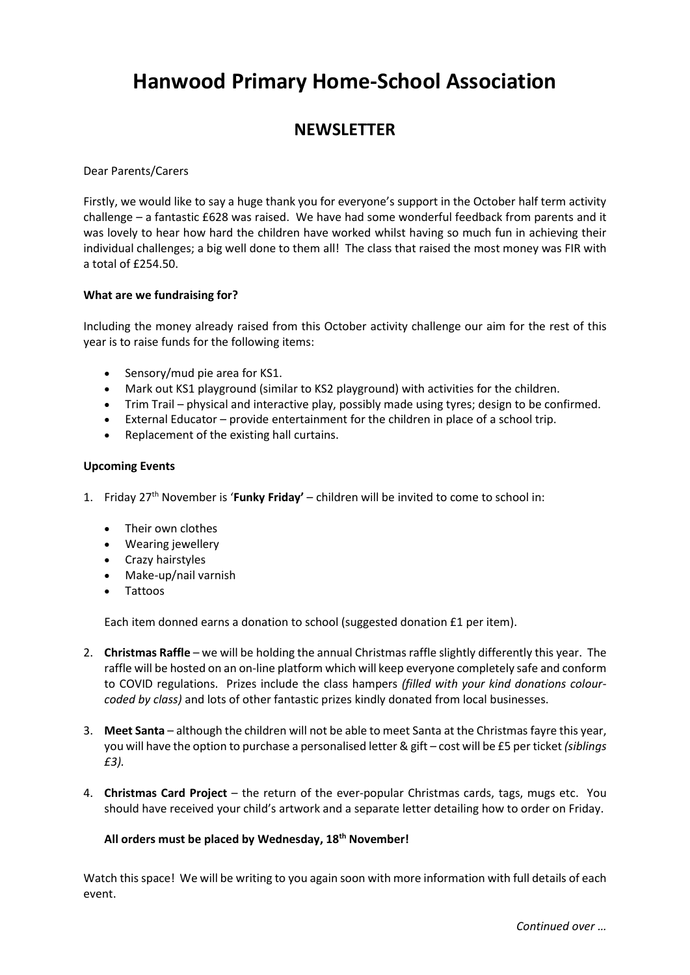# **Hanwood Primary Home-School Association**

# **NEWSLETTER**

Dear Parents/Carers

Firstly, we would like to say a huge thank you for everyone's support in the October half term activity challenge – a fantastic £628 was raised. We have had some wonderful feedback from parents and it was lovely to hear how hard the children have worked whilst having so much fun in achieving their individual challenges; a big well done to them all! The class that raised the most money was FIR with a total of £254.50.

## **What are we fundraising for?**

Including the money already raised from this October activity challenge our aim for the rest of this year is to raise funds for the following items:

- Sensory/mud pie area for KS1.
- Mark out KS1 playground (similar to KS2 playground) with activities for the children.
- Trim Trail physical and interactive play, possibly made using tyres; design to be confirmed.
- External Educator provide entertainment for the children in place of a school trip.
- Replacement of the existing hall curtains.

#### **Upcoming Events**

- 1. Friday 27th November is '**Funky Friday'** children will be invited to come to school in:
	- Their own clothes
	- Wearing jewellery
	- Crazy hairstyles
	- Make-up/nail varnish
	- Tattoos

Each item donned earns a donation to school (suggested donation £1 per item).

- 2. **Christmas Raffle** we will be holding the annual Christmas raffle slightly differently this year. The raffle will be hosted on an on-line platform which will keep everyone completely safe and conform to COVID regulations. Prizes include the class hampers *(filled with your kind donations colourcoded by class)* and lots of other fantastic prizes kindly donated from local businesses.
- 3. **Meet Santa** although the children will not be able to meet Santa at the Christmas fayre this year, you will have the option to purchase a personalised letter & gift – cost will be £5 per ticket *(siblings £3).*
- 4. **Christmas Card Project** the return of the ever-popular Christmas cards, tags, mugs etc. You should have received your child's artwork and a separate letter detailing how to order on Friday.

## **All orders must be placed by Wednesday, 18th November!**

Watch this space! We will be writing to you again soon with more information with full details of each event.